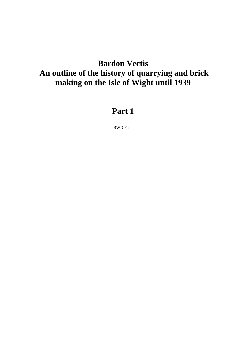# **Bardon Vectis An outline of the history of quarrying and brick making on the Isle of Wight until 1939**

# **Part 1**

RWD Fenn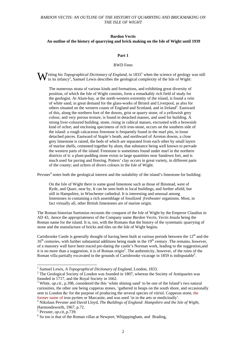# **Bardon Vectis An outline of the history of quarrying and brick making on the Isle of Wight until 1939**

#### **Part 1**

#### RWD Fenn

**W** riting his *Topographical Dictionary of England*, in 1833<sup>1</sup> when the science of geology was still in its infancy<sup>2</sup>, Samuel Lewis describes the geological complexity of the Isle of Wight: in its infancy<sup>2</sup>, Samuel Lewis describes the geological complexity of the Isle of Wight:

The numerous strata of various kinds and formations, and exhibiting great diversity of position, of which the Isle of Wight consists, form a remarkably rich field of study for the geologist. At Alum-bay, at the north-western extremity of the island, is found a vein of white sand, in great demand for the glass-works of Bristol and Liverpool, as also for others situated on the western coasts of England and Scotland, and in Ireland<sup>3</sup>. Eastward of this, along the northern foot of the downs, grist or quarry stone, of a yellowish grey colour, and very porous texture, is found in detached masses, and used for building. A strong liver-coloured building. stone, rising in cubical masses, encrusted with a brownish kind of ochre; and enclosing specimens of rich iron-stone, occurs on the southern side of the island: a rough calcaceous freestone is frequently found in the marl pits, in loose detached pieces. Eastward of Staple's heath, and northward of Arreton downs, a close grey limestone is raised, the beds of which are separated from each other by small layers of marine shells, cemented together by alum, that substance being well known to pervade the western parts of the island. Freestone is sometimes found under marl in the northern districts of it: a plum-pudding stone exists in large quantities near Sandown fort, and is much used for paving and flooring. Potters' clay occurs in great variety, in different parts of the county; and ochres of divers colours in the Isle of Wight.

Pevsner<sup>4</sup> notes both the geological interest and the suitability of the island's limestone for building:

On the Isle of Wight there is some good limestone such as those of Binstead, west of Ryde, and Quarr, near by, It can be seen both in local buildings, and further afield, but still in Hampshire, in Winchester cathedral. It is interesting and unusual among limestones in containing a rich assemblage of fossilized *freshwater* organisms. Most, in fact virtually all, other British limestones are of marine origin.

The Roman historian Suetonius recounts the conquest of the Isle of Wight by the Emperor Claudius in AD 43, .hence the appropriateness of the Company name *Bardon Vectis*, *Vectis Insula* being the Roman name for the island. It is, too, with the Romans that the history of the systematic quarrying of stone and the manufacture of bricks and tiles on the Isle of Wight begins.

Carisbrooke Castle is generally thought of having been built at various periods between the  $12<sup>th</sup>$  and the  $16<sup>th</sup>$  centuries, with further substantial additions being made in the  $19<sup>th</sup>$  century .The remains, however, of a masonry wall have been traced pre-dating the castle's Norman work, leading to the suggestion,and it is no more than a suggestion, it is of Roman origin<sup>5</sup>. The authenticity, however, of the ruins of the Roman villa partially excavated in the grounds of Carisbrooke vicarage in 1859 is indisputable<sup>6</sup>.

<sup>&</sup>lt;sup>1</sup> Samuel Lewis, *A Topographical Dictionary of England*, London, 1833.<br><sup>2</sup> The Goologiael Society of London was founded in 1807, whereas the Sc

 $2$  The Geological Society of London was founded in 1807, whereas the Society of Antiquaries was founded in 1717, and the Royal Society in 1662.

<sup>&</sup>lt;sup>3</sup> White, *op.cit.*, p.398, considered the this 'white shining sand' to be one of the Island's two natural curiosities, the other one being copperas stones, 'gathered in heaps on the south shore, and occasionally sent to London &c for the purpose of producing the several species of vitriol. Copperas stone, the former name of iron pyrites or Marcasite, and was used 'in in the arts or medicinally'.

<sup>&</sup>lt;sup>4</sup> Nikolaus Pevsner and David Lloyd, *The Buildings of England: Hampshire and the Isle of Wight,* Harmondsworth, 1967, p.72.

 $^5$  Pevsner, *op.cit*,.p.739.

 $6$  So too is that of the Roman villas at Newport, Whipppingham, and Brading,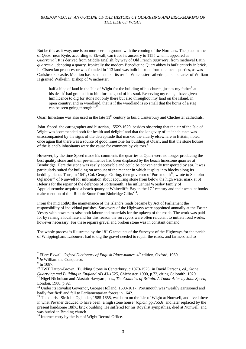But be this as it way, one is on more certain ground with the coming of the Normans. The place-name of *Quarr* near Ryde, according to Ekwall, can trace its ancestry to 1155 when it appeared as *Quarraria*<sup>7</sup> . It is derived from Middle English, by way of Old French *quarriere*, from medieval Latin *quarraria,,* denoting a quarry. Ironically the modern Benedictine Quarr abbey is built entirely in brick. Its Cistercian predecessor was founded in 1131and was built in stone from the local quarries, as was Carisbrooke castle. Mention has been made of its use in Winchester cathedral, and a charter of William II granted Walkelin, Bishop of Winchester:

half a hide of land in the Isle of Wight for the building of his church, just as my father<sup>8</sup> at his death<sup>9</sup> had granted it to him for the good of his soul. Reserving my rents, I have given him licence to dig for stone not only there but also throughout my land on the island, in open country, and in woodland, that is if the woodland is so small that the horns of a stag can be seen going through it<sup>10</sup>...

Quarr limestone was also used in the late 11<sup>th</sup> century to build Canterbury and Chichester cathedrals.

John Speed the cartographer and historian, 1552?-1629, besides observing that the air of the Isle of Wight was 'commended both for health and delight' and that the longevity of its inhabitants was unaccompanied by the signs of the decrepitude that marked the elderly elsewhere in Britain, noted once again that there was a source of good limestone for building at Quarr, and that the stone houses of the island's inhabitants were the cause for comment by visitors.11

However, by the time Speed made his comments the quarries at Quarr were no longer producing the best quality stone and their pre-eminence had been displaced by the beach limestone quarries at Bembridge. Here the stone was easily accessible and could be conveniently transported by sea. It was particularly suited for building on account of the manner in which it splits into blocks along its bedding planes Thus, in 1641, Col. George Goring, then governor of Portsmouth<sup>12</sup>, wrote to Sir John Oglander<sup>13</sup> of Nunwell for information about acquiring stone from below the high water mark at St Helen's for the repair of the defences of Portsmouth. The influential Worsley family of Appuldurcombe acquired a beach quarry at Whitecliffe Bay in the  $17<sup>th</sup>$  century and their account books make mention of the 'Rubble Stone from Binbridge Clifts'<sup>14</sup>.

From the mid 16thC the maintenance of the Island's roads became by Act of Parliament the responsibility of individual parishes. Surveyors of the Highways were appointed annually at the Easter Vestry with powers to raise both labour and materials for the upkeep of the roads. The work was paid for by raising a local rate and for this reason the surveyors were often reluctant to initiate road works, however necessary. For these repairs gravel and broken stone was in constant demand.

The whole process is illustrated by the  $18<sup>th</sup>$  C accounts of the Surveyor of the Highways for the parish of Whippingham. Labourers had to dig the gravel needed to repair the roads, and farmers had to

<sup>&</sup>lt;sup>7</sup> Eilert Ekwall, *Oxford Dictionary of English Place-names*, 4<sup>th</sup> edition, Oxford, 1960.<br><sup>8</sup> *Ie* William the Conqueror.<br>9 In 1087

 $9$  In 1087.

<sup>&</sup>lt;sup>10</sup> TWT Tatton-Brown, 'Building Stone in Canterbury, c.1070-1525' in David Parsons, *ed.*, *Stone. Quarrying and Building in England AD 43-1525,* Chichester, 1990, p.72, citing Galbraith, 1920.<br><sup>11</sup> Nigel Nicholson and Alastair Hawyard, eds., *The Counties of Britain. A Tudor Atlas by John Speed*, London, 1988, p.92.

<sup>&</sup>lt;sup>12</sup> Under its Royalist Governor, George Holland, 1608-1617, Portsmouth was 'weakly garrisoned and badly fortified' and fell to Parliamentarian forces in 1642.

 $\frac{13}{13}$  The diarist Sir John Oglander, 1585-1655, was born on the Isle of Wight at Nunwell, and lived there in what Pevsner deduced to have been 'a high stone house' [*op.cit*.,pp.755,6] and later replaced by the present handsome 18thC brick building. He suffered for his Royalist sympathies, died at Nunwell, and was buried in Brading church.

<sup>&</sup>lt;sup>14</sup> Internet entry by the Isle of Wight Record Office.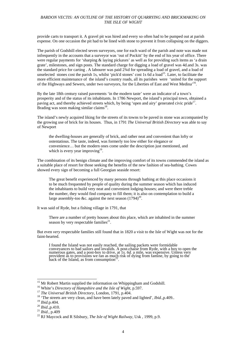provide carts to transport it. A gravel pit was hired and every so often had to be pumped out at parish expense. On one occasion the pit had to be lined with stone to prevent it from collapsing on the diggers.

The parish of Godshill elected seven surveyors, one for each ward of the parish and note was made not infrequently in the accounts that a surveyor was 'out of Pockitt' by the end of his year of office. There were regular payments for 'sharping & laying pickaxes' as well as for providing such items as 'a drain grate', milestones, and sign posts. The standard charge for digging a load of gravel was 4d.and 3s. was the standard price for carting . A labourer was paid 2¾d for spreading a load of gravel, and a load of unselected stones cost the parish 1s, whilst 'pick'd stones' cost 1s 6d a load<sup>15</sup>. Later, to facilitate the more efficient maintenance of the island's country roads, all its parishes were 'united for the support of the Highways and Sewers, under two surveyors, for the Liberties of East and West Medina'16.

By the late 18th century raised pavements 'in the modern taste' were an indicator of a town's prosperity and of the status of its inhabitants. In 1786 Newport, the island's principal town, obtained a paving act, and thereby achieved streets which, by being 'open and airy' generated civic pride<sup>17</sup>. Brading was soon making similar claims<sup>18</sup>.

The island's newly acquired liking for the streets of its towns to be paved in stone was accompanied by the growing use of brick for its houses. Thus, in 1791 *The Universal British Directory* was able to say of Newport

the dwelling-houses are generally of brick, and rather neat and convenient than lofty or ostentatious. The taste, indeed, was formerly too low either for elegance or convenience… but the modern ones come under the description just mentioned, and which is every year improving $19$ .

The combination of its benign climate and the improving comfort of its towns commended the island as a suitable place of resort for those seeking the benefits of the new fashion of sea-bathing. Cowes showed every sign of becoming a full Georgian seaside resort:

The great benefit experienced by many persons through bathing at this place occasions it to be much frequented by people of quality during the summer season which has induced the inhabitants to build very neat and convenient lodging-houses; and were there treble the number, they would find company to fill them; it is also on contemplation to build a large assembly-too &c. against the next season  $(1794)^{20}$ .

It was said of Ryde, but a fishing village in 1791, that

There are a number of pretty houses about this place, which are inhabited in the summer season by very respectable families $^{21}$ .

But even *very* respectable families still found that in 1820 a visit to the Isle of Wight was not for the faint-hearted.

I found the Island was not easily reached, the sailing packets were formidable<br>conveyances to bad sailors and invalids. A post-chaise from Ryde, with a boy to open the<br>numerous gates, and a post-boy to drive, at 1s. 6d. a  $\frac{1}{2}$  back of the Island, as from consumption<sup>22</sup>.

<sup>&</sup>lt;sup>15</sup> Mr Robert Martin supplied the information on Whippingham and Godshill.

<sup>&</sup>lt;sup>16</sup> White's *Directory of Hampshire and the Isle of Wight*, p.597.<br><sup>17</sup> *The Universal British Directory*, London, 1791, p.404.<br><sup>18</sup> *The streets are very clean, and have been lately paved and lighted', <i>Ibid.*, p.409..<br>

<sup>19</sup> *Ibid.*p.404. 20 *Ibid.,*p.410. 21 *Ibid.,* p.409 22 RJ Maycock and R Silsbury, *The Isle of Wight Railway,* Usk , 1999, p.9.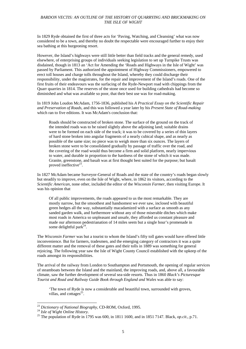In 1829 Ryde obtained the first of three acts for 'Paving, Watching, and Cleansing' what was now considered to be a town, and thereby no doubt the respectable were encouraged further to enjoy their sea bathing at this burgeoning resort.

However, the Island's highways were still little better than field tracks and the general remedy, used elsewhere, of enterprising groups of individuals seeking legislation to set up Turnpike Trusts was disdained, though in 1813 an 'Act for Amending the 'Roads and Highways in the Isle of Wight' was passed by Parliament. This authorized the appointment of Highway Commissioners, empowered to erect toll houses and charge tolls throughout the Island, whereby they could discharge their responsibility, under the magistrates, for the repair and improvement of the Island's roads. One of the first fruits of their endeavours was the surfacing of the Ryde-Newport road with chippings from the Quarr quarries in 1814. The reserves of the stone once used for building cathedrals had become so diminished and what was available so poor, that their best use was for road-making.

In 1819 John Loudon McAdam, 1756-1836, published his *A Practical Essay on the Scientific Repair and Preservation of Roads*, and this was followed a year later by his *Present State of Road-making* which ran to five editions. It was McAdam's conclusion that:

Roads should be constructed of broken stone. The surface of the ground on the track of the intended roads was to be raised slightly above the adjoining land; suitable drains were to be formed on each side of the track; it was to be covered by a series of thin layers of hard stone broken into angular fragments of a nearly cubical shape, and as nearly as possible of the same size; no piece was to weigh more than six ounces. The layers of broken stone were to be consolidated gradually by passage of traffic over the road, and the covering of the road would thus become a firm and solid platform, nearly impervious to water, and durable in proportion to the hardness of the stone of which it was made. Granite, greenstone, and basalt was at first thought best suited for the purpose; but basalt proved ineffective $23$ .

In 1827 McAdam became Surveyor-General of Roads and the state of the country's roads began slowly but steadily to improve, even on the Isle of Wight, where, in 1862 its visitors, according to the *Scientific American,* none other, included the editor of the *Wisconsin Farmer*, then visiting Europe. It was his opinion that

Of all public improvements, the roads appeared to us the most remarkable. They are mostly narrow, but the smoothest and handsomest we ever saw, inclosed with beautiful green hedges all the way, substantially macadamized with a surface as smooth as any sanded garden walk, and furthermore without any of those miserable ditches which make most roads in America so unpleasant and unsafe, they afforded us constant pleasure and made our afternoon pedestrianation of 14 miles seem but a single hour's promenade in some delightful park<sup>24</sup>.

The *Wisconsin Farmer* was but a tourist to whom the Island's fifty toll gates would have offered little inconvenience. But for farmers, tradesmen, and the emerging category of contractors it was a quite different matter and the removal of these gates and their tolls in 1889 was something for general rejoicing. The following year saw the Isle of Wight County Council established with the upkeep of the roads amongst its responsibilities.

The arrival of the railway from London to Southampton and Portsmouth, the opening of regular services of steamboats between the Island and the mainland, the improving roads, and, above all, a favourable climate, saw the further development of several sea-side resorts. Thus in 1860 *Black's Picturesque Tourist and Road and Railway Guide Book through England and Wales* was able to say:

'The town of Ryde is now a considerable and beautiful town, surrounded with groves, villas, and cottages $^{25}$ .

<sup>&</sup>lt;sup>23</sup> Dictionary of National Biography, CD-ROM, Oxford, 1995.

<sup>&</sup>lt;sup>24</sup> *Isle of Wight Online History.* <sup>25</sup> *Dictionary of National Biography, 1995* was 600, in 1811 1600, and in 1851 7147. Black, *op.cit.*, p.71.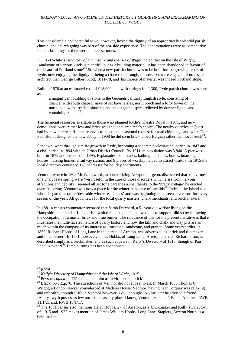This considerable and beautiful town, however, lacked the dignity of an appropriately splendid parish church, and church going was part of the sea-side experience. The denominations were as competitive in their buildings as they were in their sermons.

In 1859 White's *Directory of Hampshire and the Isle of Wight* noted that on the Isle of Wight, 'sandstone of various kinds is plentiful; but as a building material, it has been abandoned in favour of the beautiful Portland stone<sup>'26</sup>.So when a new parish church was to be built for the growing resort of Ryde, now enjoying the dignity of being a chartered borough, the services were engaged of no less an architect than George Gilbert Scott, 1811-78, and his choice of material was indeed Portland stone.

Built in 1870 at an estimated cost of £18,000, and with sittings for 1,300, Ryde parish church was seen as

a magnificent building of stone in the Geometrical Early English style, consisting of chancel with south chapel. nave of six bays, aisles, north porch and a lofty tower on the north side, with arcaded pinacles; and an octagonal spire, relieved by dormer lights, and containing 8 bells $^{27}$ .

The financial resources available to those who planned Ryde's Theatre Royal in 1871, and now demolished, were rather less and brick was the local architect's choice. The nearby quarries at Quarr had by now barely sufficient reserves to meet the occasional request for road chippings, and when Dom Paul Bellot designed the new abbey in 1908 he did so in brick, albeit Belgian rather than local brick<sup>28</sup>.

Sandown went through similar growth to Ryde, becoming a separate ecclesiastical parish in 1847 and a civil parish in 1894 with an Urban District Council. By 1911 its population was 3,840. A pier was built in 1878 and extended in 1895. Esplanades, bandstands, bathing machines, hotels, boarding houses, nursing homes, a railway station, and 9 places of worship helped to attract visitors. In 1915 the local directory contained 128 addresses for holiday apartments.

Ventnor, where in 1809 Mr Waterworth, an enterprizing Newport surgeon, discovered that the virtues of a chalybeate spring were 'very useful in the cure of those disorders which arise from nervous affections and debility', seemed all set for a career as a spa, thanks to the 'pretty cottage' he erected over the spring. Ventnor was now a place for the winter residence of invalids<sup>29</sup>. Indeed, the Island as a whole began to acquire 'desirable winter residences' and was beginning to be seen as a resort for every season of the year. All good news for the local quarry masters, chalk merchants, and brick makers.

In 1881 a census enumerator recorded that Sarah Pritchard, a 51 year old widow living on the Hampshire mainland at Longparish, with three daughters and two sons to support, did so by following the occupation of a master brick and lime burner. The relevance of this for the present narrative is that it illustrates the multi-faceted nature of quarry history and how the kiln and chalk and clay pits are as much within the compass of its interest as limestone, sandstone, and granite. Some years earlier, in 1859, Richard Hobbs of Long Lane in the parish of Arreton, was advertized as 'brick and tile maker, and lime burner'. In 1881, however, James Hobbs, of Long Lane, Arreton, perhaps Richard's son, is described simply as a brickmaker, and as such appears in Kelly's *Directory* of 1915, though of Pan Lane, Newport<sup>30</sup>. Lime burning has been abandoned.

 $26$  p.594.

<sup>27</sup> *Kelly's Directory of Hampshire and the Isle of Wight*, 1915. 28 Pevsner, *op.cit*., p.761, acclaimed him as 'a virtuoso on brick'.

<sup>29</sup> Black, *op.cit*.,p.70. The attractions of Ventnor did not appeal to all. In March 1850 Thomas C Wright, a London lawyer convalesced at Madeira House, Ventnor, having hear Torquay was relaxing and unhealthy though 'Life in Ventnor however is dull enough'. A year later he advised a friend 'Aberystwyth possesses few attractions as any place I know, Ventnor excepted'. Banks Archives RWB 11/1/21 and. RWB 10/1/17.

<sup>30</sup> The 1881 census also mentions Harry Hobbs, 27, of Arreton, as a brickmaker and Kelly's *Directory*  of 1915 and 1927 makes mention of James William Hobbs, Long Lane, Staplers, Arreton North as a brickmaker.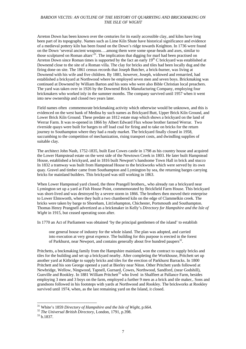Arreton Down has been known over the centuries for its easily accessible clay, and kilns have long been part of its topography. Names such as Lime Kiln Shute have historical significance and evidence of a medieval pottery kiln has been found on the Down's ridge towards Knighton. In 1736 were found on the Down 'several ancient weapons….among them were some spear-heads and axes, similar to those sculptured on Roman altars<sup>31</sup>. The implication that digging for marl had been practised on Arreton Down since Roman times is supported by the fact an early  $19<sup>th</sup>$  C brickyard was established at Downend close to the site of a Roman villa. The clay for bricks and tiles had been locally dug and the firing done on site. The 1861 census records that Joseph Butcher, a brick-burner, was living at Downend with his wife and five children. By 1881, however, Joseph, widowed and remarried, had established a brickyard at Northwood where he employed seven men and seven boys. Brickmaking was continued at Downend by William Barton and his sons who were also Bible Christian local preachers. The yard was taken over in 1926 by the Downend Brick Manufacturing Company, employing four brickmakers who worked inly in the summer months. The company survived until 1957 when it went into new ownership and closed two years later.

Field names often commemorate brickmaking activity which otherwise would be unknown, and this is evidenced on the west bank of Medina by such names as Brickyard Butt, Upper Brick Kiln Ground, and Lower Brick Kiln Ground. These predate an 1812 estate map which shows a brickyard on the land of Werrar Farm. It was re-opened in 1866 by Albert Edward Flux whose brother farmed Werrar. Two riverside quays were built for barges to off load coal for firing and to take on bricks for the return journey to Southampton where they had a ready market. The brickyard finally closed in 1958, succumbing to the competition of mechanization, rising transport costs, and dwindling supplies of suitable clay.

The architect John Nash, 1752-1835, built East Cowes castle in 1798 as his country house and acquired the Lower Hampstead estate on the west side of the Newtown Creek in 1803. He later built Hampstead House, established a brickyard, and in 1816 built Newport's handsome Town Hall in brick and stucco In 1832 a tramway was built from Hampstead House to the brickworks which were served by its own quay. Gravel and timber came from Southampton and Lymington by sea, the returning barges carrying bricks for mainland builders. This brickyard was still working in 1863.

When Lower Hampstead yard closed, the three Prangell brothers,, who already ran a brickyard near Lymington set up a yard at Fish House Point, commemorated by Brickfield Farm House. This brickyard was short-lived and was destroyed by a severe storm in 1866. The brothers then moved their enterprise to Lower Elmsworth, where they built a two chambered kiln on the edge of Clammelkin creek. The bricks were taken by barge to Shoreham, Litt1ehampton, Chichester, Portsmouth and Southampton. Thomas Henry Prangnell advertized as a brickmaker in Kelly's *Directory for Hampshire and the Isle of Wight* in 1915, but ceased operating soon after.

In 1770 an Act of Parliament was obtained 'by the principal gentlemen of the island' to establish

one general house of industry for the whole island. The plan was adopted, and carried into execution at very great expence. The building for this purpose is erected in the forest of Parkhurst, near Newport, and contains generally about five hundred paupers<sup>32</sup>.

Pritchetts, a bnckmaking family from the Hampshire mainland, won the contract to supply bricks and tiles for the building and set up a brickyard nearby. After completing the Workhouse, Pritchett set up another yard at Kitbridge to supply bricks and tiles for the erection of Parkhurst Barracks. In 1800 Pritchett and his son George opened a yard at Bierley near Niton. Other Pritchett yards followed at Newbridge, Wellow, Ningwood, Tapnell, Gurnard, Cowes, Northwood, Sandford, (near Godshill), Gunville and Rookley. In 1881 William Pritchett<sup>33</sup> who lived in Shalfleet at Pallance Farm, besides employing 3 men and 3 boys on the farm, employed a further 9 men as a brick and tile maker,. Sons and grandsons followed in his footsteps with yards at Northwood and Rookley. The brickworks at Rookley survived until 1974, when, as the last remaining yard on the Island, it closed.

<sup>&</sup>lt;sup>31</sup> White's 1859 *Directory of Hampshire and the Isle of Wight*, p.664.<br><sup>32</sup> *The Universal British Directory*, London, 1791, p.398.<br><sup>33</sup> b.1837.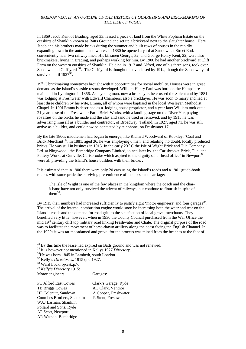In 1869 Jacob Kent of Brading, aged 33, leased a piece of land from the White Popham Estate on the outskirts of Shanklin known as Batts Ground and set up a brickyard next to the slaughter house. Here Jacob and his brothers made bricks during the summer and built rows of houses in the rapidly expanding town in the autumn and winter. In 1880 he opened a yard at Sandown at Street End, conveniently near two railway lines. His kinsmen George, 32, and George Henry Kent, 22, were also brickmakers, living in Brading, and perhaps working for him. By 1900 he had another brickyard at Cliff Farm on the western outskirts of Shanklin. He died in 1913 and Alfred, one of his three sons, took over Sandown and Cliff yards<sup>34</sup>. The Cliff yard is thought to have closed by 1914, though the Sandown vard survived until  $1927^{35}$ 

 $19<sup>th</sup>$  C brickmaking sometimes brought with it opportunities for social mobility. Houses were in great demand as the Island's seaside resorts developed. William Henry Paul was born on the Hampshire mainland in Lymington in 1856. As a young man, now a bricklayer, he crossed the Solent and by 1881 was lodging at Freshwater with Edward Chambers, also a bricklayer. He was soon to marry and had at least three children by his wife, Emma, all of whom were baptised in the local Wesleyan Methodist Chapel. In 190I Emma is described as a lodging house proprietor, and a year later William took out a 21 year lease of the Freshwater Farm Brick Works, with a landing stage on the River Yar, paying royalties on the bricks he made and the clay and sand he used or removed, and by 1915 he was advertising himself as a builder and contractor, of Broadway, Totland. In 1927, aged 71, he was still active as a builder, and could now be contacted by telephone, on Freshwater 17.

By the late 1800s middlemen had begun to emerge, like Richard Woodward of Rookley, 'Coal and Brick Merchant'36. In 1881, aged 36, he was employing 6 men, and retailing, no doubt, locally produced bricks. He was still in business in 1915. In the early  $20<sup>th</sup>$  C the Isle of Wight Brick and Tile Company Ltd at Ningwood, the Bembridge Company Limited, joined later by the Carisbrooke Brick, Tile, and Pottery Works at Gunville, Carisbrooke which aspired to the dignity of a 'head office' in Newport<sup>37</sup> were all providing the Island's house builders with their bricks .

It is estimated that in 1900 there were only 20 cars using the Island's roads and a 1901 guide-book. relates with some pride the surviving pre-eminence of the horse and carriage:

The Isle of Wight is one of the few places in the kingdom where the coach and the charà-banc have not only survived the advent of railways, but continue to flourish in spite of them $38$ .

By 1915 their numbers had increased sufficiently to justify eight 'motor engineers' and four garages<sup>39</sup>. The arrival of the internal combustion engine would soon be increasing both the wear and tear on the Island's roads and the demand for road grit, to the satisfaction of local gravel merchants. They benefited very little, however, when in 1930 the County Council purchased from the War Office the mid 19th century cliff top military road linking Freshwater and Chale. The original purpose of the road was to facilitate the movement of horse-drawn artillery along the coast facing the English Channel. In the 1920s it was tar macadamed and gravel for the process was mined from the beaches at the foot of

<sup>39</sup> *Kelly's Directory* 1915:

l

Motor engineers. Garages:

PC Alford East Cowes Clark's Garage, Ryde TB Briggs Cowes AC Clark, Ventnor HP Colenutt, Sandown A Cooper, Freshwater Coombes Brothers, Shanklin R Stent, Freshwater WAJ Lasman, Shanklin Pollard and Sons, Ryde AP Scott, Newport AR Watson, Bembridge

 $34$  By this time the lease had expired on Batts ground and was not renewed.

<sup>&</sup>lt;sup>35</sup> It is however not mentioned in Kellys 1927 *Directory*.<br><sup>36</sup>He was born 1845 in Lambeth, south London.

<sup>37</sup> Kelly's *Directories*, 1915 qnd 1927. 38 Ward Lock, *op.cit*.,p.7.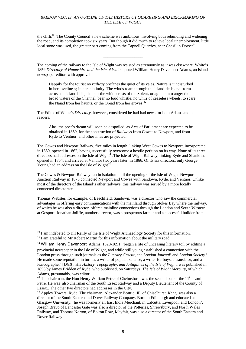the cliffs<sup>40</sup>. The County Council's new scheme was ambitious, involving both rebuilding and widening the road, and its completion took six years. But though it did much to relieve local unemployment, little local stone was used, the greater part coming from the Tapnell Quarries, near Chesil in Dorset<sup>41</sup>.

\_\_\_\_\_\_\_\_\_\_\_\_\_\_\_\_\_\_\_

The coming of the railway to the Isle of Wight was resisted as strenuously as it was elsewhere. White's 1859 *Directory of Hampshire and the Isle of White* quoted William Henry Davenport Adams, an island newspaper editor, with approval:

Happily for the tourist no *railway* profanes the quiet of its vales. Nature is uindisturbed in her loveliness; in her sublimity. The winds roam through the island-dells and storm across the island hills, that stir the white crests of the Solent, or agitate into anger the broad waters of the Channel, bear no loud whistle, no whirr of ceaseless wheels, to scare the Naiad from her haunts, or the Oread from her groves! $42$ 

The Editor of White's *Directory*, however, considered he had bad news for both Adams and his readers:

Alas, the poet's dream will soon be despoiled, as Acts of Parliament are expected to be obtained in 1859, for the construction of *Railways* from Cowes to Newport, and from Ryde to Ventnor; and other lines are projected.

The Cowes and Newport Railway, five miles in length, linking West Cowes to Newport, incorporated in 1859, opened in 1862, having successfully overcome a hostile petition on its way. None of its three directors had addresses on the Isle of Wight<sup>43</sup>. The Isle of Wight Railway, linking Ryde and Shanklin, opened in 1864, and arrived at Ventnor two years later, in 1866. Of its six directors, only George Young had an address on the Isle of Wight<sup>44</sup>

The Cowes & Newport Railway ran in isolation until the opening of the Isle of Wight-Newport Junction Railway in 1875 connected Newport and Cowes with Sandown, Ryde, and Ventnor. Unlike most of the directors of the Island's other railways, this railway was served by a more locally connected directorate.

Thomas Webster, for example, of Beechfield, Sandown, was a director who saw the commercial advantages in offering easy communications with the mainland through Stokes Bay where the railway, of which he was also a director, offered mainline connections through the London and South Western at Gosport. Jonathan Joliffe, another director, was a prosperous farmer and a successful builder from

 $40$  I am indebeted to Jill Reilly of the Isle of Wight Archaeology Society for this information.

<sup>&</sup>lt;sup>41</sup> I am grateful to Mr Robert Martin for this information about the military road.

<sup>&</sup>lt;sup>42</sup> William Henry Davenport Adams, 1828-1891, 'began a life of unceasing literary toil by editing a provincial newspaper in the Isle of Wight, and while still young established a connection with the London press through such journals as the *Literary Gazette*, the *London Journal*' and *London Society*.' He made some reputation in turn as a writer of popular science, a writer for boys, a translator, and a lexicographer' [*DNB*]. His *History, Topography, and Antiquities of the Isle of Wight*, was published in 1856 by James Bridden of Ryde, who published, on Saturdays, *The Isle of Wight Mercury*, of which Adams, presumably, was editor.

 $43$  The chairman, the Hon Henry William Petre of Chelmsford, was the second son of the  $11<sup>th</sup>$  Lord Petre. He was also chairman of the South Essex Railway and a Deputy Lieutenant of the County of Essex.. The other two directors had addresses in the City.

<sup>44</sup> Appley Towers, Ryde. The chairman, Alexander Beattie, JP, of Chiselhurst, Kent, was also a director of the South Eastern and Dover Railway Company. Born in Edinburgh and educated at Glasgow University, 'he was formerly an East India Merchant, in Calcutta, Liverpool, and London'. Joseph Bravo of Lancaster Gate was also a director of the Potteries, Shrewsbury, and North Wales Railway, and Thomas Norton, of Bolton Row, Mayfair, was also a director of the South Eastern and Dover Railway.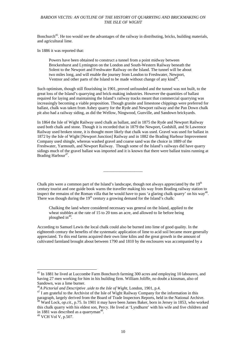Bonchurch<sup>45</sup>. He too would see the advantages of the railway in distributing, bricks, building materials, and agricultural lime.

In 1886 it was reported that:

Powers have been obtained to construct a tunnel from a point midway between Brockenhurst and Lymington on the London and South-Western Railway beneath the Solent to the Newport and Freshwater Railway on the Island. The tunnel will be about two miles long, and will enable the journey from London to Freshwater, Newport, Ventnor and other parts of the Island to be made without change of any kind<sup>46</sup>.

Such optimism, though still flourishing in 1901, proved unfounded and the tunnel was not built, to the great loss of the Island's quarrying and brick-making industries. However the quantities of ballast required for laying and maintaining the Island's railway tracks meant that commercial quarrying was increasingly becoming a viable proposition. Though granite and limestone chippings were preferred for ballast, chalk was taken from Ashey quarry for the Ryde and Newport railway and the Pan Down chalk pit also had a railway siding, as did the Wellow, Ningwood, Gunville, and Sandown brickyards.

In 1864 the Isle of Wight Railway used chalk as ballast, and in 1875 the Ryde and Newport Railway used both chalk and stone. Though it is recorded that in 1879 the Newport, Godshill, and St Lawrence Railway used broken stone, it is thought more likely that chalk was used. Gravel was used for ballast in 1872 by the Isle of Wight [Newport Junction] Railway and in 1882 the Brading Harbour Improvement Company used shingle, whereas washed gravel and coarse sand was the choice in 1889 of the Freshwater, Yarmouth, and Newport Railway. Though some of the Island's railways did have quarry sidings much of the gravel ballast was imported and it is known that there were ballast trains running at Brading Harbour<sup>47</sup>.

Chalk pits were a common part of the Island's landscape, though not always appreciated by the  $19<sup>th</sup>$ century tourist and one guide book warns the traveller making his way from Brading railway station to inspect the remains of the Roman villa that he would have to pass 'a glaring chalk quarry' on his way<sup>48</sup>. There was though during the  $19<sup>th</sup>$  century a growing demand for the Island's chalk:

\_\_\_\_\_\_\_\_\_\_\_\_\_\_\_\_\_\_\_

Chalking the land where considered necessary was general on the Island, applied to the wheat stubbles at the rate of 15 to 20 tons an acre, and allowed to lie before being ploughed  $in^{49}$ .

According to Samuel Lewis the local chalk could also be burned into lime of good quality. In the eighteenth century the benefits of the systematic application of lime to acid soil became more generally appreciated. To this end farms acquired their own lime kilns and the great growth in the amount of cultivated farmland brought about between 1790 and 1810 by the enclosures was accompanied by a

<sup>&</sup>lt;sup>45</sup> In 1881 he lived at Luccombe Farm Bonchurch farming 300 acres and employing 10 labourers, and having 27 men working for him in his building firm. William Joliffe, no doubt a kinsman, also of Sandown, was a lime burner.<br><sup>46</sup>A Pictorial and Descriptive uide to the Isle of Wight, London, 1901, p.4.

<sup>&</sup>lt;sup>47</sup> I am grateful to the Archivist of the Isle of Wight Railway Company for the information in this paragraph, largely derived from the Board of Trade Inspectors Reports, held in the National Archive. <sup>48</sup> Ward Lock, *op.cit.*, p.75. In 1901 it may have been James Baker, born in Jersey in 1853, who worked

this chalk quarry with his eldest son, Percy. He lived at 'Lyndhurst' with his wife and five children and in 1881 was described as a quarryman<sup>48</sup>.<br><sup>49</sup> VCH Vol V, p.507.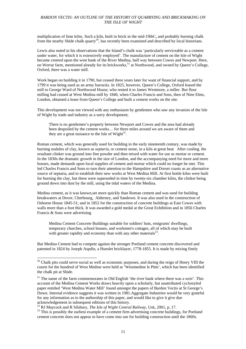multiplication of lime kilns. Such a kiln, built in brick in the mid-19thC, and probably burning chalk from the nearby Shide chalk quarry<sup>50</sup>, has recently been examined and described by local historians.

Lewis also noted in his observations that the Island's chalk was 'particularly serviceable as a cement under water, for which it is extensively employed'. The manufacture of cement on the Isle of Wight became centred upon the west bank of the River Medina, half way between Cowes and Newport. Here, on Werrar farm, mentioned already for its brickworks,<sup>51</sup> at Northwood, and owned by Queen's College, Oxford, there was a water mill.

Work began on building it in 1790, but ceased three years later for want of financial support, and by 1799 it was being used as an army barracks. In 1825, however, Queen's College, Oxford leased the mill to George Ward of Northwood House, who rented it to James Westmore, a miller. But flour milling had ceased at West Medina mill by 1840, when Charles Francis and Sons, then of Nine Elms, London, obtained a lease from Queen's College and built a cement works on the site.

This development was not viewed with any enthusiasm by gentlemen who saw any invasion of the Isle of Wight by trade and industry as a sorry development;

There is no gentlemen's property between Newport and Cowes and the area had already been despoiled by the cement works… for three miles around we are aware of them and they are a great nuisance to the Isle of Wight $52$ .

Roman cement, which was generally used for building in the early nineteenth century, was made by burning nodules of clay, known as *septaria*, or cement stone, in a kiln at great heat After cooling. the resultant clinker was ground into fine powder and then mixed with water for use as mortar or cement. In the 1830s the dramatic growth in the size of London, and the accompanying need for more and more houses, made demands upon local supplies of cement and mortar which could no longer be met. This led Charles Francis and Sons to turn their attention to the Hampshire and Dorset coasts as an alternative source of septaria, and to establish their new works at West Medina Mill. At first bottle kilns were built for burning the clay, but these were superseded in time by twenty-six chamber kilns, the clinker being ground down into dust by the mill, using the tidal waters of the Medina.

Medina cement, as it was known,set more quickly than Roman cement and was used for building breakwaters at Dover, Cherbourg, Alderney, and Sandown. It was also used in the construction of Osborne House 1845-51; and in 1852 for the construction of concrete buildings at East Cowes with walls more than a foot thick. It was awarded a gold medal at the Great Exhibition and in 1856 Charles Francis & Sons were advertising

Medina Cement Concrete Buildings suitable for soldiers' huts, emigrants' dwellings, temporary churches, school houses, and workmen's cottages, all of which may be built with greater rapidity and economy than with any other materials $5<sup>3</sup>$ .

But Medina Cement had to compete against the stronger Portland cement concrete discovered and patented in 1824 by Joseph Aspdin, a Hunslet bricklayer, 1778-1855. It is made by mixing finely

 $50$  Chalk pits could serve social as well as economic purposes, and during the reign of Henry VIII the courts for the hundred of West Medine were held at 'Westmedine le Pitte', which has been identified the chalk pit at Shide.

<sup>&</sup>lt;sup>51</sup> The name of the farm commemorates in Old English 'the river bank where there was a weir'. This account of the Medina Cement Works draws heavily upon a scholarly, but unattributed cyclostyled paper entitled 'West Medina Water Mill' found amongst the papers of Bardon Vectis at St George's Down. Internal evidence suggests it was written in 1981.Aggregate Industries would be very grateful for any information as to the authorship of this paper, and would like to give it give due

acknowledgement in subsequent editions of this history.<br><sup>52</sup> RJ Maycock and R Silsbury, *The Isle of Wight Central Railway*, Usk, 2001, p..17.

<sup>&</sup>lt;sup>53</sup> This is possibly the earliest example of a cement firm advertising concrete buildings, for Portland cement concrete does not appear to have come into use for building construction until the 1860s.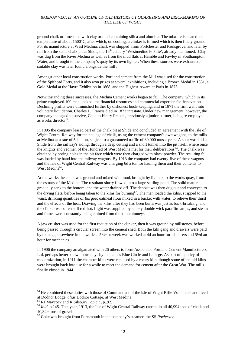ground chalk or limestone with clay or mud containing silica and alumina. The mixture is heated to a temperature of about 1500°C, after which, on cooling, a clinker is formed which is then finely ground. For its manufacture at West Medina, chalk was shipped from Portchester and Paulsgrove, and later by rail from the same chalk pit at Shide, the 16<sup>th</sup> century 'Westmedine le Pitte', already mentioned. Clay was dug from the River Medina as well as from the mud flats at Hamble and Fawley in Southampton Water, and brought to the company's quay by its own lighter. When these sources were exhausted, suitable clay was later found alongside the mill .

Amongst other local construction works, Portland cement from the Mill was used for the construction of the Spithead Forts, and it also won prizes at several exhibitions, including a Bronze Medal in 1851, a Gold Medal at the Havre Exhibition in 1868, and the Highest Award at Paris in 1875.

Notwithstanding these successes, the Medina Cement works began to fail. The company, which in its prime employed 100 men, lacked the financial resources and commercial expertise for innovation. Declining profits were diminished further by dishonest book-keeping, and in 1871 the firm went into voluntary liquidation. Charles L. Francis died in 1873 intestate. Under new management, however, the company managed to survive, Captain Henry Francis, previously a junior partner, being re-employed as works director<sup>54</sup>.

In 1895 the company leased part of the chalk pit at Shide and concluded an agreement with the Isle of Wight Central Railway for the haulage of chalk, using the cement company's own wagons, to the mills at Medina at a rate of 5d. a ton, subject to a guaranteed traffic of 30,000 tons a year. A spur was laid at Shide from the railway's siding, through a deep cutting and a short tunnel into the pit itself, where once the knights and yeomen of the Hundred of West Medina met for their deliberations.<sup>55</sup>. The chalk was obtained by boring holes in the pit face which were then charged with black powder. The resulting fall was loaded by hand into the railway wagons. By 1913 the company had twenty-five of these wagons and the Isle of Wight Central Railway was charging 6d a ton for hauling them and their contents to West Medina<sup>56</sup>.

At the works the chalk was ground and mixed with mud, brought by lighters to the works quay, from the estuary of the Medina. The resultant slurry flowed into a large settling pond. The solid matter gradually sank to the bottom, and the water drained off. The deposit was then dug out and conveyed to the drying flats, before being taken to the kilns for burning<sup>57</sup>. The men loaded the kilns, stripped to the waist, drinking quantities of *Burgoo*, oatmeal flour mixed in a bucket with water, to relieve their thirst and the effects of the heat. Drawing the kilns after they had been burnt was just as back-breaking, and the clinker was often still red-hot. Light was supplied by smoky double wick paraffin lamps, and steam and fumes were constantly being emitted from the kiln chimneys.

A jaw crusher was used for the first reduction of the clinker, then it was ground by millstones, before being passed through a circular screen into the cement shed. Both the kiln gang and drawers were paid by tonnage, elsewhere in the works a 56½ hr week was worked at 4d an hour for labourers and 5½d an hour for mechanics.

In 1906 the company amalgamated with 26 others to form Associated Portland Cement Manufacturers Ltd, perhaps better known nowadays by the names Blue Circle and Lafarge. As part of a policy of modernization, in 1911 the chamber kilns were replaced by a rotary kiln, though some of the old kilns were brought back into use for a while to meet the demand for cement after the Great War. The mills finally closed in 1944.

l

<sup>&</sup>lt;sup>54</sup> He combined these duties with those of Commandant of the Isle of Wight Rifle Volunteers and lived at Dodnor Lodge, *alias* Dodnor Cottage, at West Medina.<br><sup>55</sup> RJ Maycock and R Silsbury , *op.cit.*, p. 92.<br><sup>56</sup> Ibid., p. 145. That year, 1913, the Isle of Wight Central Railway carried in all 40,994 tons of chalk and

<sup>10,349</sup> tons of gravel.

<sup>57</sup> Coke was brought from Portsmouth in the company's steamer, the SS *Rochester.*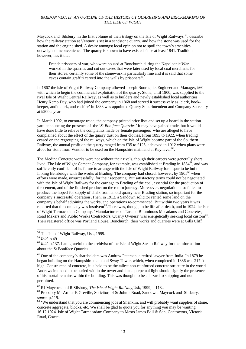Maycock and Silsbury, in the first volume of their trilogy on the Isle of Wight Railways<sup>58</sup>, describe how the railway station at Ventnor is set in a sandstone quarry, and how the stone was used for the station and the engine shed. A desire amongst local opinion not to spoil the town's amenities outweighed inconvenience. The quarry is known to have existed since at least 1841. Tradition, however, has it that

French prisoners of war, who were housed at Bonchurch during the Napoleonic War, worked in the quarries and cut out caves that were later used by local coal merchants for their stores; certainly some of the stonework is particularly fine and it is said that some caves contain graffiti carved into the walls by prisoners<sup>59</sup>.

In 1867 the Isle of Wight Railway Company allowed Joseph Bourne, its Engineer and Manager, £60 with which to begin the commercial exploitation of the quarry. Stone, until 1900, was supplied to the rival Isle of Wight Central Railway, as well as to builders and newly established local authorities. Henry Kemp Day, who had joined the company in 1868 and served it successively as 'clerk, bookkeeper, audit clerk, and cashier' in 1888 was appointed Quarry Superintendent and Company Secretary at £200 a year.

In March 1902, to encourage trade, the company printed price lists and set up a board in the station yard announcing the presence of the '*St Boniface Quarries'.*It may have gained trade, but it would have done little to relieve the complaints made by female passengers who are alleged to have complained about the effect of the quarry dust on their clothes. From 1893 to 1922, when trading ceased on the regrouping of the railways, which on the Isle of Wight became part of the Southern Railway, the annual profit on the quarry ranged from £35 to £125, achieved in 1912 when plans were afoot for stone from Ventnor to be used on the Hampshire mainland at Keyhaven<sup>60</sup>.

The Medina Concrete works were not without their rivals, though their careers were generally short lived. The Isle of Wight Cement Company, for example, was established at Brading in  $1884^{61}$ , and was sufficiently confident of its future to arrange with the Isle of Wight Railway for a spur to be built linking Bembridge with the works at Brading. The company had closed, however, by  $1905^{62}$  when efforts were made, unsuccessfully, for their reopening. But satisfactory terms could not be negotiated with the Isle of Wight Railway for the carriage to Brading of the coal, essential for the production of the cement, and of the finished product on the return journey. Moreoever, negotiation also failed to produce the hoped-for supply of chalk from an old quarry near Brading station, so important for the company's successful operation .Then, in 1912, a Sandown solicitor rented some land on the company's behalf adjoining the works, and operations re-commenced. But within two years it was reported that the company was insolvent<sup>63</sup>. There was, though, to be life after death, and in 1924 the Isle of Wight Tarmacadam Company, 'Manufacturers of Tar and Bituminous Macadams and Concretes, Road Makers and Public Works Contractors. Quarry Owners' was energetically seeking local custom<sup>64</sup>. Their registered office was Portland House, Bonchurch; their works and quarries were at Gills Cliff

<sup>&</sup>lt;sup>58</sup> The Isle of Wight Railway, Usk, 1999.

<sup>&</sup>lt;sup>59</sup> *Ibid*, p.49.<br><sup>60</sup> *Ibid*. p.137. I am grateful to the archivist of the Isle of Wight Steam Railway for the information about the St Boniface Quarries.

<sup>&</sup>lt;sup>61</sup> One of the company's shareholders was Andrew Peterson, a retired lawyer from India. In 1879 he began building on the Hampshire mainland Sway Tower, which, when completed in 1886 was 217 ft high. Constructed of concrete, it is held to be the tallest non-reinforced concrete structure in the world. Andrews intended to be buried within the tower and that a perpetual light should signify the presence of his mortal remains within the building. This was thought to be a hazard to shipping and not permitted.

<sup>&</sup>lt;sup>62</sup> RJ Maycock and R Silsbury, *The Isle of Wight Railway*, Usk, 1999, p.118..<br><sup>63</sup> Probably Mr Arthur E Greville, Solicitor, of St John's Road, Sandown. Maycock and Silsbury, *supra*, p.119. 64 'We understand that you are commencing jobs at Shanklin, and will probably want supplies of stone,

concrete aggregate, blocks, etc. We shall be glad to quote you for anything you may be wanting. 16.12.1924. Isle of Wight Tarmacadam Company to Mesrs James Ball & Son, Contractors, Victoria Road, Cowes.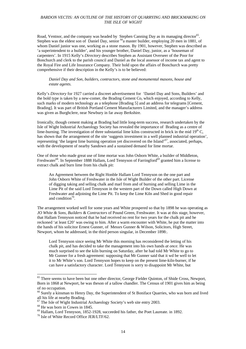Road, Ventnor, and the company was headed by Stephen Canning Day as its managing director<sup>65</sup>. Stephen was the eldest son of Daniel Day, senior <sup>66</sup><sub>a</sub> master builder, employing 20 men in 1881, of whom Daniel junior was one, working as a stone mason. By 1901, however, Stephen was described as 'a superintendent to a builder', and his younger brother, Daniel Day, junior, as a 'houseman of carpenters'. In 1915 Kelly's *Directory* describes Stephen as Assistant Overseer of the Poor for Bonchurch and clerk to the parish council and Daniel as the local assessor of income tax and agent to the Royal Fire and Life Insurance Company. Their hold upon the affairs of Bonchurch was pretty comprehensive if their description in the Kelly's is to be believed:

#### *Daniel Day and Son, builders, contractors, stone and monumental masons, house and estate agents.*

Kelly's *Directory* for 1927 carried a discreet advertisement for 'Daniel Day and Sons, Builders' and the bold type is taken by a new-comer, the Brading Cement Co, which enjoyed, according to Kelly, such marks of modern technology as a telephone [Brading 5] and an address for telegrams [Cement, Brading]. It was part of British Portland Cement Manufacturers Limited, and the manager's address was given as Burghclere, near Newbury in far away Berkshire.

Ironically, though cement making at Brading had little long-term success, research undertaken by the Isle of Wight Industrial Archaeology Society has revealed the importance of Brading as a centre of lime-burning. The investigation of three substantial lime kilns constructed in brick in the mid  $19<sup>th</sup>$ C, has shown that the arrangement of the site 'suggests investment in a well planned industrial operation', representing 'the largest lime burning operation yet discovered on the Island'<sup>67</sup>, associated, perhaps, with the development of nearby Sandown and a sustained demand for lime mortar.

One of those who made great use of lime mortar was John Osborn White, a builder of Middleton, Freshwater<sup>68</sup>. In September 1888 Hallam, Lord Tennyson of Farringford<sup>69</sup> granted him a license to extract chalk and burn lime from his chalk pit:

An Agreement between the Right Honble Hallam Lord Tennyson on the one part and John Osborn White of Freshwater in the Isle of Wight Builder of the other part. License of digging taking and selling chalk and marl from and of burning and selling Lime in the Lime Pit of the said Lord Tennyson in the western part of the Down called High Down at Freshwater and adjoining the Lime Pit. To keep the Lime Kiln and Shed in good repair and condition $70$ .

The arrangement worked well for some years and White prospered so that by 1898 he was operating as *JO White & Sons, Builders & Contractors* of Pound Green, Freshwater. It was at this stage, however, that Hallam Tennyson noticed that he had received no rent for two years for the chalk pit and he reckoned 'at least £20' was owing to him. After a warm encounter with White, he put the matter into the hands of his solicitor Ernest Gunner, of Messrs Gunner & Wilson, Solicitors, High Street, Newport, whom he addressed, in the third person singular, in December 1898:.

Lord Tennyson since seeing Mr White this morning has reconsidered the letting of his chalk pit, and has decided to take the management into his own hands *at once.* He was much surprised to see the kiln burning on Saturday, after he had told Mr White to go to Mr Gunner for a fresh agreement: supposing that Mr Gunner said that it wd be well to let it to Mr White's son. Lord Tennyson hopes to keep on the present lime-kiln-burner, if he can have a satisfactory character. Lord Tennyson is sorry to disappoint Mr White, but

<sup>&</sup>lt;sup>65</sup> There seems to have been but one other director, George Fielder Quinton, of Shide Cross, Newport, Born in 1868 at Newport, he was theson of a tallow chandler. The Census of 1901 gives him as being of no occupation.

<sup>&</sup>lt;sup>66</sup> Surely a kinsman to Henry Day, the Superintendent of St Boniface Quarries, who was born and lived all his life at nearby Brading.

<sup>&</sup>lt;sup>67</sup> The Isle of Wight Industrial Archaeology Society's web site entry 2003.

<sup>68</sup> He was born in Cowes in 1845.

<sup>&</sup>lt;sup>69</sup> Hallam, Lord Tennyson, 1852-1928, succeeded his father, the Poet Laureate. in 1892.<br><sup>70</sup> Isle of White Record Office JER/LTF/62.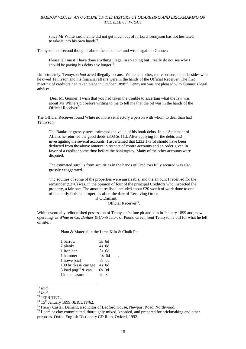since Mr White said that he did not get much out of it, Lord Tennyson has not hesitated to take it into his own hands<sup>71</sup>.

Tennyson had second thoughts about the encounter and wrote again to Gunner:

Please tell me if I have done anything illegal in so acting but I really do not see why I should be paying his debts any longer $72$ .

Unfortunately, Tennyson *had* acted illegally because White had other, more serious, debts besides what he owed Tennyson and his financial affairs were in the hands of the Official Receiver. The first meeting of creditors had taken place in October 1898<sup>73</sup>. Tennyson was not pleased with Gunner's legal advice:

 Dear Mr Gunner, I wish that you had taken the trouble to ascertain what the law was about Mr White's pit before writing to me to tell me that the pit was in the hands of the Official Receiver<sup>74</sup>.

The Official Receiver found White no more satisfactory a person with whom to deal than had Tennyson:

The Bankrupt grossly over-estimated the value of his book debts. In his Statement of Affairs he returned the good debts £303 5s 11d. After applying for the debts and investigating the several accounts, I ascertained that £232 17s 1d should have been deducted from the above amount in respect of contra accounts and an order given in favor of a creditor some time before the bankruptcy. Many of the other accounts were disputed.

The estimated surplus from securities in the hands of Creditors fully secured was also grossly exaggerated.

'l'hc equities of some of the properties were unsaleable, and the amount I received for the remainder  $(E270)$  was, in the opinion of four of the principal Creditors who inspected the property, a fair one. The amount realised included about £20 worth of work done to one of the partly finished properties after .the date of Receiving Order.

 H C Damant, Official Receiver75.

White eventually relinquished possession of Tennyson's lime pit and kiln in January 1899 and, now operating as *White & Co, Builder & Contractor*, of Pound Green, sent Tennyson a bill for what he left on site: .

Plant & Material in the Lime Kiln & Chalk Pit.

| 5s 6d   |
|---------|
| 4s 0d   |
| 3s 0d   |
| $1s$ 6d |
| 3s 0d   |
| 4s 0d   |
| 6s Od   |
| 4s 6d   |
|         |

 $171$  Ibid..

<sup>72</sup> *Ibid..*<br>
<sup>73</sup> JER/LTF/74.<br>
<sup>74</sup> 15<sup>th</sup> January 1899. JER/LTF/62.

<sup>&</sup>lt;sup>75</sup> Henry Castell Damant, a solicitor of Bedford House, Newport Road, Northwood.

<sup>&</sup>lt;sup>76</sup> Loam or clay comminuted, thoroughly mixed, kneaded, and prepared for brickmaking and other purposes. Oxfod English Dictionary CD Rom, Oxford, 1992.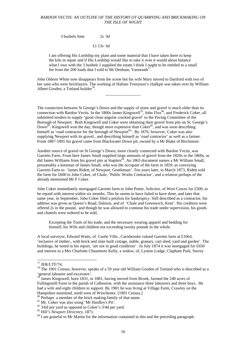3 bushels lime 2s 0d

£1 13s 6d

I am offering His Lordship my plant and some material that I have taken there to keep the kiln in repair and if His Lordship would like to take it over it would about balance what I owe with the 3 bushels I supplied the estate I think I ought to be entitled to a small fee from the 200 loads that I sold to Mr Denham, Yarmouth<sup>77</sup>.

John Osborn White now disappears from the scene but his wife Mary moved to Dartford with two of her sons who were bricklayers. The working of Hallam Tennyson's chalkpit was taken over by William Albert Gosden, a Totland builder<sup>78</sup>.

\_\_\_\_\_\_\_\_\_\_\_\_\_\_\_\_\_

The connection between St George's Down and the supply of stone and gravel is much older than its connection with Bardon Vectis. In the 1860s James Kingswell<sup>79</sup>, John Flux<sup>80</sup>, and Frederick Coker, all submitted tenders to supply 'good clean angular cracked gravel' to the Paving Committee of the Borough of Newport. Both Kingswell and Coker were obtaining their gravel from pits on St. George's Down<sup>81</sup>. Kingswell won the day, though more expensive than Coker<sup>82</sup>, and was soon describing himself as 'road contractor for the borough of Newport<sup>83</sup>. By 1876, however, Coker was also supplying Newport with its gravel., and describing himself as 'road contractor' as well as a farmer. From 1887-1891 his gravel came from Blackwater Down pit, owned by a Mr Blake of Birchmore.

Another source of gravel on St George's Down, more closely connected with Bardon Vectis, was Garretts Farm. From here James Small supplied large amounts of gravel from the 1820s to the 1860s, as did James Williams from his gravel pits at Staplers<sup>84</sup>. An 1863 document names a Mr William Small, presumably a kinsman of James Small, who was the occupant of the farm in 1859, as conveying Garretts Farm to 'James Ridett, of Newport, Gentleman'. Ten years later, in March 1873, Ridett sold the farm for £600 to John Coker, of Chale, 'Public Works Contractor', and a relation perhaps of the already mentioned Mr F Coker.

John Coker immediately mortgaged Garretts farm to John Potter, Solicitor, of West Cowes for £500, to be repaid with interest within six months. This he seems to have failed to have done, and later that same year, in September, John Coker filed a petition for bankruptcy. Still described as a contractor, his address was given as Queen's Road, Dalston, and of 'Chale and Greenwich, Kent'. His creditors were offered 2s in the pound, and though he was allowed to continue his trade under supervision, his goods and chattels were ordered to be sold,

Excepting the Tools of his trade, and the necessary wearing apparel and bedding for himself, his Wife and children not exceeding twenty pounds in the whole.

A local surveyor, Edward Watts, of Castle Villa , Carisbrooke valued Garretts farm at £1064, 'inclusive of timber., with brick and slate built cottage, stable, granary, cart shed, yard and garden'. The buildings, he noted in his report, 'are not in good condition' . In July 1874 it was mortgaged for £650 and interest to a Mrs Charlotte Chasemore Kelly, a widow, of, Lynton Lodge, Clapham Park, Surrey.

<sup>77</sup> JER/LTF/74.

<sup>78</sup> The 1901 Census, however, speaks of a 59 year old William Gosden of Totland who is described as a 'general labourer and excavator'.<br><sup>79</sup> Iom - **Y**'

James Kingswell, born 1831, in 1881, having moved from Brook, farmed the 240 acres of Fullingsmill Farm in the parish of Calbourne, with the assistance three labourers and three boys. He had a wife and eight children to support. By 1901 he was living at Village Farm, Crawley on the Hampshire mainland, north west of Winchester. [1901 Census.]

<sup>&</sup>lt;sup>80</sup> Perhaps a member of the brick making family of that name.

<sup>&</sup>lt;sup>81</sup> Mr. Coker was also using 'Mr Hardley's Pit'.

 $82$  3/6d per yard as opposed to Coker's 3/4d per yard.<br> $83$  Hill's Newport Directory, 1871.

<sup>&</sup>lt;sup>84</sup> I am grateful to Mr Martin for the information contained in this and the preceding paragraph.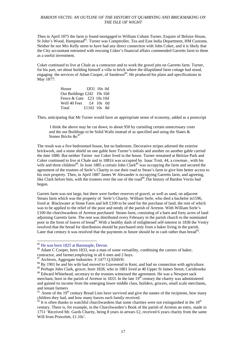Then in April 1875 the farm is found mortgaged to William Coham Turner, Esquire of Belsize House, St John's Wood, Hampstead<sup>85</sup>. Turner was Comptroller, Tea and East India Department, HM Customs. Neither he nor Mrs Kelly seem to have had any direct connection with John Coker, and it is likely that the City accountant entrusted with rescuing Coker's financial affairs commended Garretts farm to them as a useful investment.

Coker continued to live at Chale as a contractor and to work the gravel pits on Garretts farm. Turner, for his part, set about building himself a villa in brick where the dilapidated farm cottage had stood, engaging the services of Adam Cooper, of Sandown<sup>86</sup>. He produced his plans and specifications in May 1877:

| House                                   | £831 10s 0d  |  |
|-----------------------------------------|--------------|--|
| Out Buildings £242 19s 10d              |              |  |
| Fence & Gate $\text{\pounds}23$ 10s 10d |              |  |
| Well 40 Feet                            | £4 $10s$ 0d  |  |
| Total                                   | £1102 10s 8d |  |

Then, anticipating that Mr Turner would have an appriopriate sense of economy, added as a postscript

 I think the above may be cut down, to about 950 by curtailing certain unnecessary costs and the out Buildings to be Solid Walls instead of as specified and using the Slates & Stones Bricks &c<sup>87</sup>

The result was a five bedroomed house, but no bathroom. Decorative stripes adorned the exterior brickwork, and a stone shield on one gable bore Turner's initials and another on another gable carried the date 1880. But neither Turner nor Coker lived in the house. Turner remained at Belzize Park and Coker continued to live at Chale and in 1881it was occupied by Isaac Trott, 44, a cowman , with his wife and three children<sup>88</sup>. In June 1885 a certain John Clark<sup>89</sup> was occupying the farm and secured the agreement of the trustees of Serle's Charity to use their road to Stean's farm to give him better access to his own property. Then, in April 1887 James W Alexander is occupying Garretts farm, and agreeing, like Clark before him, with the trustees over the use of the road<sup>90</sup>. The history of Bardon Vectis had begun.

Garrets farm was not large, but there were further reserves of gravel, as well as sand, on adjacent Steans farm which was the property of Serle's Charity. William Serle, who died a bachelor in1596, lived at Blackwater at Stone Farm and left £100 to be used for the purchase of land, the rent of which was to be applied to the relief of the poor and needy of the parish of Arreton. With William Serle's £100 the churchwardens of Arreton purchased Steans farm, consisting of a barn and forty acres of land adjoining Garretts farm. The rent was distributed every February in the parish church to the nominated poor in the form of loaves of bread<sup>91</sup>. With a healthy dash of enlightened self-interest in 1838 the Vestry resolved that the bread for distribution should be purchased only from a baker living in the parish. Later that century it was resolved that the payments in future should be in cash rather than bread $92$ .

l

<sup>&</sup>lt;sup>85</sup> He was born 1825 at Barnstaple, Devon.<br><sup>86</sup> Adam C Cooper, born 1833, was a man of some versatility, combining the careers of baker, contractor, and farmer,employing in all 6 men and 2 boys.

<sup>87</sup> Archives, Aggregate Industries F.1477.Q.9260/H.

<sup>&</sup>lt;sup>88</sup> By 1901 he and his wife had moved to Gravesend in Kent, and had no connection with agriculture.

<sup>&</sup>lt;sup>89</sup> Perhaps John Clark, grocer, born 1828, who in 1881 lived at 40 Upper St James Street, Carisbrooke <sup>90</sup> Edward Whitehead, secretary to the trustees witnessed the agreement. He was a Newport sack merchant, born in the parish of Arreton in 1833. In the late  $19<sup>th</sup>$  century the charity was administered and gained its income from the emerging lower middle class, builders, grocers, small scale merchants, and tenant farmers

 $91$ . Some of the 19<sup>th</sup> century Bread Lists have survived and give the names of the recipients, how many children they had, and how many loaves each family received.

 $92$  It is often thanks to watchful churchwardens that some charities were not extinguished in the 18<sup>th</sup> century. There is, for example, in the Churchwarden's Book of the parish of Arreton an entry, made in 1751 'Received Mr. Gards Charity, being 8 years in arrears £2, received 6 years charity from the same Will from Princelett, £1.10s'.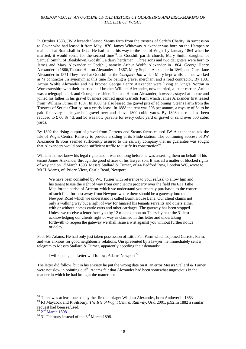In October 1888, JW Alexander leased Steans farm from the trustees of Serle's Charity, in succession to Coker who had leased it from May 1876. James Whiteway Alexander was born on the Hampshire mainland at Bramshall in 1822. He had made his way to the Isle of Wight by January 1864 when he married, it would seem, for the second time<sup>93</sup>, at Godshill parish church, Mary Smith, daughter of Samuel Smith, of Bleakdown, Godshill, a dairy herdsman. Three sons and two daughters were born to James and Mary Alexander at Godshil, namely Arthur Wolfe Alexander in 1864, George Henry Alexander in 1866,Thomas Hinton Alexander in 1867, Mary Sophia Alexander in 1869, and Clara Jane Alexander in 1871.They lived at Godshill at the *Chequers Inn* which Mary kept whilst James worked as 'a contractor', a synonym at this time for being a gravel merchant and a road contractor. By 1881 Arthur Wolfe Alexander and his brother George Henry Alexander were living at King's Norton in Worcestershire with their married half brother William Alexander, now married, a letter carrier. Arthur was a telegraph clerk and George a cashier. Thomas Hinton Alexander, however, stayed at home and joined his father in his gravel business centred upon Garretts Farm which James Alexander first leased from William Turner in 1887. In 1888 he also leased the gravel pits of adjoining Steans Farm from the Trustees of Serle's Charity on a yearly lease. In 1888 the rent was £98 per annum, a royalty of 5d to be paid for every cubic yard of gravel over and above 1800 cubic yards. By 1898 the rent had been reduced to £ 60 8s 4d, and 5d was now payable for every cubic yard of gravel or sand over 500 cubic yards.

By 1892 the rising output of gravel from Garretts and Steans farms caused JW Alexander to ask the Isle of Wight Central Railway to provide a siding at its Shide station. The continuing success of JW Alexander & Sons seemed sufficiently assured to the railway company that no guarantee was sought that Alexanders would provide sufficient traffic to justify its construction<sup>94</sup>.

William Turner knew his legal rights and it was not long before he was asserting them on behalf of his tenant James Alexander through the good offices of his lawyer son. It was all a matter of blocked rights of way and on 1<sup>st</sup> March 1898 Messrs Stallard & Turner, of 44 Bedford Row, London WC, wrote to Mr H Adams, of Priory View, Castle Road, Newport

We have been consulted by WC Turner with reference to your refusal to allow him and his tenant to use the right of way from our client's property over the field No 611 Tithe Map for the parish of Arreton which we understand you recently purchased to the corner of such field furthest away from Newport where there should be a gateway into the Newport Road which we understand is called Burnt House Lane. Our client claims not only a walking way but a right of way for himself his tenants servants and others either with or without horses cattle carts and other carriages. The gateway has been stopped. Unless we receive a letter from you by 12 o'clock noon on Thursday next the  $3<sup>rd</sup>$  inst acknowledging our clients right of way as claimed in this letter and undertaking forthwith to reopen the gateway we shall issue a writ against you without further notice or delay.

Poor Mr Adams. He had only just taken possession of Little Pan Farm which adjoined Garretts Farm, and was anxious for good neighbourly relations. Unrepresented by a lawyer, he immediately sent a telegram to Messrs Stallard & Turner, apparently acceding their demands:

I will open gate. Letter will follow. Adams Newport<sup>95</sup>.

The letter did follow, but in his anxiety he put the wrong date on it, an error Messrs Stallard & Turner were not slow in pointing out<sup>96</sup>. Adams felt that Alexander had been somewhat ungracious in the manner in which he had brought the matter up:

<sup>&</sup>lt;sup>93</sup> There was at least one son by the first marriage: William Alexander, born Andover in 1853

<sup>94</sup> RJ Maycock and R Silsbury, *The Isle of Wight Central Railway*, Usk, 2001, p.92.In 1882 a similar request had been refused.<br><sup>95</sup> 2<sup>nd</sup> March 1898.

<sup>&</sup>lt;sup>96</sup> 3<sup>rd</sup> February instead of the 3<sup>rd</sup> March 1898.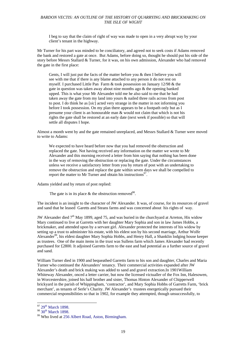I beg to say that the claim of right of way was made to open in a very abrupt way by your client's tenant in the highway.

Mr Turner for his part was minded to be conciliatory, and agreed not to seek costs if Adams removed the bank and restored a gate at once. But Adams, before doing so, thought he should put his side of the story before Messrs Stallard & Turner, for it was, on his own admission, Alexander who had removed the gate in the first place:

Gents, I will just put the facts of the matter before you & then I believe you will see with me that if there is any blame attached to any person it do not rest on myself. I purchased Little Pan Farm & took possession on January 12/98 & the gate in question was taken away about nine months ago & the opening banked upped. This is what your Mr Alexander told me he also said to me that he had taken away the gate from my land into yours & nailed three rails across from post to post. I do think he as [*sic*] acted very strange in the matter in not informing you before I took possession. On my plan there appears to be a footpath only but as I presume your client is an honourable man & would not claim that which is not his rights the gate shall be restored at an early date (next week if possible) so that will settle all disputes I hope.

Almost a month went by and the gate remained unreplaced, and Messrs Stallard & Turner were moved to write to Adams:

We expected to have heard before now that you had removed the obstruction and replaced the gate. Not having received any information on the matter we wrote to Mr Alexander and this morning received a letter from him saying that nothing has been done in the way of removing the obstruction or replacing the gate. Under the circumstances unless we receive a satisfactory letter from you by return of post with an undertaking to remove the obstruction and replace the gate within seven days we shall be compelled to report the matter to Mr Turner and obtain his instructions $97$ .

Adams yielded and by return of post replied:

The gate is in its place  $\&$  the obstruction removed<sup>98</sup>.

The incident is an insight to the character of JW Alexander. It was, of course, for its resources of gravel and sand that he leased Garetts and Steans farms and was concerned about his rights of way.

JW Alexander died  $7<sup>th</sup>$  May 1899, aged 75, and was buried in the churchyard at Arreton, His widow Mary continued to live at Garretts with her daughter Mary Sophia and son in law James Hobbs, a brickmaker, and attended upon by a servant girl. Alexander protected the interests of his widow by setting up a trust to administer his estate, with his eldest son by his second marriage, Arthur Wolfe Alexander<sup>99</sup>, his eldest daughter Mary Sophia Hobbs, and Henry Hall, a Shanklin lodging house keeper as trustees. One of the main items in the trust was Sullens farm which James Alexander had recently purchased for £2800. It adjoined Garretts farm to the east and had potential as a further source of gravel and sand.

William Turner died in 1900 and bequeathed Garretts farm to his son and daughter, Charles and Maria Turner who continued the Alexanders' tenancy. Their commercial activities expanded after JW Alexander's death and brick making was added to sand and gravel extraction.In 1901William Whiteway Alexander, onced a letter carrier, but now the licensed victualler of the Fox Inn, Halesowen, in Worcestershire, joined his half brother and sister, Thomas Hinton Alexander of Chipperwell brickyard in the parish of Whippingham, 'contractor', and Mary Sophia Hobbs of Garretts Farm, 'brick merchant', as tenants of Serle's Charity. JW Alexander's trustees energetically pursued their commercial responsibilities so that in 1902, for example they attempted, though unsuccessfully, to

 $97$  29<sup>th</sup> March 1898.

 $\frac{98}{9}$  30<sup>th</sup> March 1898.<br><sup>99</sup> Who lived at 256 Albert Road, Aston, Birmingham.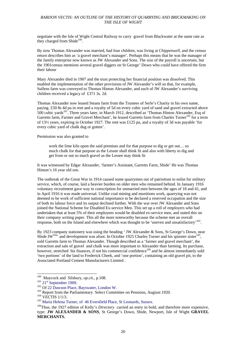negotiate with the Isle of Wight Central Railway to carry gravel from Blackwater at the same rate as they charged from Shide<sup>100</sup>.

By now Thomas Alexander was married, had four children, was living at *Chippenwell*, and the census return describes him as 'a gravel merchant's manager'. Perhaps this means that he was the manager of the family enterprise now known as JW Alexander and Sons. The size of the payroll is uncertain, but the 1901census mentions several gravel diggers on St George' Down who could have offered the firm their labour

Mary Alexander died in 1907 and the trust protecting her financial position was dissolved. This enabled the implementation of the other provisions of JW Alexander's will so that, for example, Sullens farm was conveyed to Thomas Hinton Alexander, and each of JW Alexander's surviving children received a legacy of £371 3s. 2d.

Thomas Alexander now leased Steans farm from the Trustees of Serle's Charity in his own name, paying. £50 8s 4d pa in rent and a royalty of 5d on every cubic yard of sand and gravel extracted above 500 cubic yards<sup>101</sup>. Three years later, in March 1912, described as 'Thomas Hinton Alexander, Esq of Garretts farm, Farmer and Gravel Merchant', he leased Garretts farm from Charles Turner<sup>102</sup> for a term of 13½ years, expiring in October 1927. The rent was £125 pa, and a royalty of 3d was payable 'for every cubic yard of chalk dug or gotten'.

Permission was also granted to

work the lime kiln upon the said premises and for that purpose to dig or get out… so much chalk for that purpose as the Lessee shall think fit and also with liberty to dig and get from or out so much gravel as the Lessee may think fit

It was witnessed by Edgar Alexander, 'farmer's Assistant, Garretts Farm, Shide' He was Thomas Hinton's 16 year old son.

The outbreak of the Great War in 1914 caused some quarrymen out of patriotism to enlist for military service, which, of course, laid a heavier burden on older men who remained behind. In January 1916 voluntary recruitment gave way to conscription for unmarried men between the ages of 18 and 41, and in April 1916 it was made universal. Unlike coal mining and munitions work, quarrying was not deemed to be work of sufficient national importance to be declared a reserved occupation and the size of both its labour force and its output declined further. With the war over JW Alexander and Sons joined the National Scheme for Disabled Ex-service Men. This set up a roll of employers who had undertaken that at least 5% of their employees would be disabled ex-service men, and stated this on their company writing paper. This all the more noteworthy because the scheme met an overall response, both on the Island and elsewhere which was thought to be 'uneven and unsatisfactory'103.

By 1923 company stationery was using the heading ' JW Alexander & Sons, St George's Down, near Shide IW<sup>104,</sup> and development was afoot. In October 1925 Charles Turner and his spinster sister<sup>105</sup>, sold Garretts farm to Thomas Alexander. Though described as a 'farmer and gravel merchant', the extraction and sale of gravel and chalk was more important to Alexander than farming. Its purchase, however, stretched his finances, if not his commercial confidence<sup>106</sup> and he almost immediately sold 'two portions' of the land to Frederick Cheek, and 'one portion', containing an old gravel pit, to the Associated Portland Cement Manufacturers Limited .

<sup>&</sup>lt;sup>100</sup> Maycock and Silsbury, op.cit., p.108.

<sup>&</sup>lt;sup>101</sup> 21<sup>st</sup> September 1909.<br><sup>102</sup> Of 22 Dawson Place, Bayswater, London W.<br><sup>103</sup> Report from the Parliamentary Select Committee on Pensions, Augiust 1920.<br><sup>103</sup> Naria Helena Turner, of 46 Eversfield Place, St Leonards, S

<sup>106</sup>Thus, the 1927 edition of Kelly's *Directory* carried an entry in bold, and therefore more expensive, type: **JW ALEXANDER & SONS**, St George's Down, Shide, Newport, Isle of Wight **GRAVEL MERCHANTS.**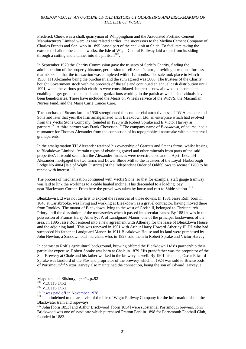Frederick Cheek was a chalk quarryman of Whippingham and the Associated Portland Cement Manufacturers Limited were, as was related earlier, the successors to the Medina Cement Company of Charles Francis and Son, who in 1895 leased part of the chalk pit at Shide. To facilitate taking the extracted chalk to the cement works, the Isle of Wight Central Railway laid a spur from its siding through a cutting and a tunnel into the pit itself $107$ .

In September 1929 the Charity Commission gave the trustees of Serle's Charity, finding the administration of the property irksome, permission to sell Stean's farm, providing it was not for less than £800 and that the transaction was completed within 12 months. The sale took place in March 1930, TH Alexander being the purchaser, and the sum agreed was £800. The trustees of the Charity bought Government stock with the proceeds of the sale and continued an annual cash distribution until 1991, when the various parish charities were consolidated. Interest is now allowed to accumulate, enabling larger grants to be made and organizations working in the parish as well as individuals have been beneficiaries. These have included the Meals on Wheels service of the WRVS, the Macmillan Nurses Fund, and the Marie Curie Cancer Care.

The purchase of Steans farm in 1930 strengthened the commercial attractiveness of JW Alexander and Sons and later that year the firm amalgamated with Bleakdown Ltd, an enterprise which had evolved from the Vectis Stone Company, founded in 1923 with Robert Sprake and E Victor Harvey as partners<sup>108</sup>. A third partner was Frank Cheverton<sup>109</sup>. The company name of *Bleakdown*, of course, had a resonance for Thomas Alexander from the connection of its topographical namesake with his maternal grandparents.

In the amalgamation TH Alexander retained his ownership of Garretts and Steans farms, whilst leasing to Bleakdown Limited. 'certain rights of obtaining gravel and other minerals from parts of the said properties'. It would seem that the Alexander finances were overstretched and in April 1932 TH Alexander mortgaged the two farms and Lower Shide Mill to the Trustees of the Loyal Harborough Lodge No 4004 [Isle of Wight Districts] of the Independent Order of Oddfellows to secure £1700 to be repaid with interest.<sup>110</sup>'

The process of mechanization continued with Vectis Stone, so that for example, a 2ft gauge tramway was laid to link the workings to a cable hauled incline. This descended to a loading bay near Blackwater Corner. From here the gravel was taken by horse and cart to Shide station. <sup>111</sup>.

Bleakdown Ltd was not the first to exploit the resources of those downs. In 1881 Jesse Rolf, born in 1848 at Carisbrooke, was living and working at Bleakdown as a gravel contractor, having moved there from Rookley. The manor of Bleakdown, lying to the west of Godshill, belonged to Christchurch Priory until the dissolution of the monasteries when it passed into secular hands. By 1881 it was in the possession of Francis Harry Atherly, JP, of Landguard Manor, one of the principal landowners of the area. In 1895 Jesse Rolf entered into a new agreement with Atherley for the lease of Bleakdown House and the adjoining land . This was renewed in 1901 with Arthur Harry Howard Atherley JP DL who had succeeded his father at Landguard Manor. In 1911 Bleakdown House and its land were purchased by John Newton, a Sandown coal merchant who, in 1923 sold them to Robert Sprake and Victor Harvey.

In contrast to Rolf's agricultural background, brewing offered the Bleakdown Ltds's partnership their particular expertise. Robert Sprake was born at Chale in 1879. His grandfather was the proprietor of the Star Brewery at Chale and his father worked in the brewery as well. By 1901 his uncle, Oscar Edward Sprake was landlord of the *Star* and proprietor of the brewery which in 1924 was sold to Brickwoods of Portsmouth<sup>112</sup>. Victor Harvey also maintained the connection, being the son of Edward Harvey, a

Maycock and Silsbury, *op.cit.*, p..92<br><sup>108</sup> VECTIS 1/1/2<br><sup>109</sup> VECTIS 1/1/1.

<sup>&</sup>lt;sup>110</sup> It was paid off in November 1938.<br><sup>111</sup> I am indebted to the archivist of the Isle of Wight Railway Company for the information about the Blackwater tram and ropeways.

<sup>112</sup> John [born 1853] and Arthur Brickwood [born 1854] were substantial Portsmouth brewers. John Brickwood was one of syndicate which purchased Fratton Park in 1898 for Portsmouth Football Club, founded in 1883.